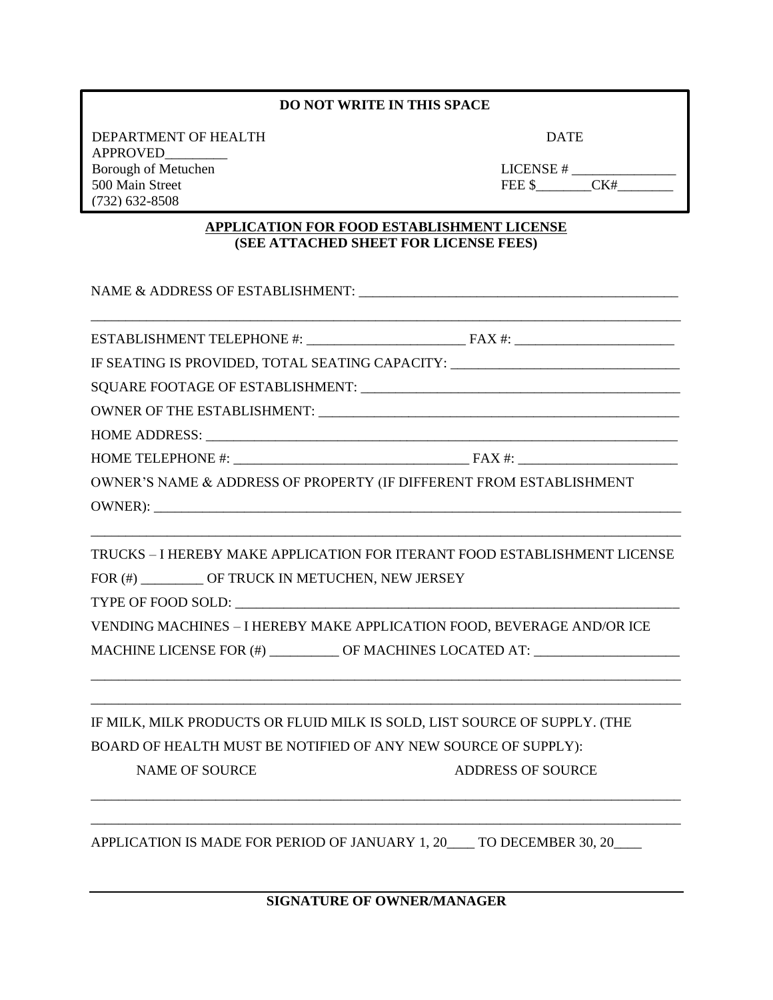## **DO NOT WRITE IN THIS SPACE**

DEPARTMENT OF HEALTH DATE APPROVED\_\_\_\_\_\_\_\_\_ Borough of Metuchen **LIC** 500 Main Street FE (732) 632-8508

8am – 4pm

| CENSE# |     |  |
|--------|-----|--|
| EE \$  | CK# |  |

## **APPLICATION FOR FOOD ESTABLISHMENT LICENSE (SEE ATTACHED SHEET FOR LICENSE FEES)**

NAME & ADDRESS OF ESTABLISHMENT: \_\_\_\_\_\_\_\_\_\_\_\_\_\_\_\_\_\_\_\_\_\_\_\_\_\_\_\_\_\_\_\_\_\_\_\_\_\_\_\_\_\_\_\_\_\_ \_\_\_\_\_\_\_\_\_\_\_\_\_\_\_\_\_\_\_\_\_\_\_\_\_\_\_\_\_\_\_\_\_\_\_\_\_\_\_\_\_\_\_\_\_\_\_\_\_\_\_\_\_\_\_\_\_\_\_\_\_\_\_\_\_\_\_\_\_\_\_\_\_\_\_\_\_\_\_\_\_\_\_\_\_ ESTABLISHMENT TELEPHONE #: \_\_\_\_\_\_\_\_\_\_\_\_\_\_\_\_\_\_\_\_\_\_\_ FAX #: \_\_\_\_\_\_\_\_\_\_\_\_\_\_\_\_\_\_\_\_\_\_\_ IF SEATING IS PROVIDED, TOTAL SEATING CAPACITY: SQUARE FOOTAGE OF ESTABLISHMENT: \_\_\_\_\_\_\_\_\_\_\_\_\_\_\_\_\_\_\_\_\_\_\_\_\_\_\_\_\_\_\_\_\_\_\_\_\_\_\_\_\_\_\_\_\_\_ OWNER OF THE ESTABLISHMENT: HOME ADDRESS: \_\_\_\_\_\_\_\_\_\_\_\_\_\_\_\_\_\_\_\_\_\_\_\_\_\_\_\_\_\_\_\_\_\_\_\_\_\_\_\_\_\_\_\_\_\_\_\_\_\_\_\_\_\_\_\_\_\_\_\_\_\_\_\_\_\_\_\_ HOME TELEPHONE #: \_\_\_\_\_\_\_\_\_\_\_\_\_\_\_\_\_\_\_\_\_\_\_\_\_\_\_\_\_\_\_\_\_\_ FAX #: \_\_\_\_\_\_\_\_\_\_\_\_\_\_\_\_\_\_\_\_\_\_\_ OWNER'S NAME & ADDRESS OF PROPERTY (IF DIFFERENT FROM ESTABLISHMENT OWNER): \_\_\_\_\_\_\_\_\_\_\_\_\_\_\_\_\_\_\_\_\_\_\_\_\_\_\_\_\_\_\_\_\_\_\_\_\_\_\_\_\_\_\_\_\_\_\_\_\_\_\_\_\_\_\_\_\_\_\_\_\_\_\_\_\_\_\_\_\_\_\_\_\_\_\_\_\_\_\_\_\_\_\_\_\_ TRUCKS – I HEREBY MAKE APPLICATION FOR ITERANT FOOD ESTABLISHMENT LICENSE FOR (#) \_\_\_\_\_\_\_\_\_ OF TRUCK IN METUCHEN, NEW JERSEY TYPE OF FOOD SOLD: VENDING MACHINES – I HEREBY MAKE APPLICATION FOOD, BEVERAGE AND/OR ICE MACHINE LICENSE FOR (#) \_\_\_\_\_\_\_\_\_\_ OF MACHINES LOCATED AT: \_\_\_\_\_\_\_\_\_\_\_\_\_\_\_\_\_\_\_\_\_ \_\_\_\_\_\_\_\_\_\_\_\_\_\_\_\_\_\_\_\_\_\_\_\_\_\_\_\_\_\_\_\_\_\_\_\_\_\_\_\_\_\_\_\_\_\_\_\_\_\_\_\_\_\_\_\_\_\_\_\_\_\_\_\_\_\_\_\_\_\_\_\_\_\_\_\_\_\_\_\_\_\_\_\_\_ \_\_\_\_\_\_\_\_\_\_\_\_\_\_\_\_\_\_\_\_\_\_\_\_\_\_\_\_\_\_\_\_\_\_\_\_\_\_\_\_\_\_\_\_\_\_\_\_\_\_\_\_\_\_\_\_\_\_\_\_\_\_\_\_\_\_\_\_\_\_\_\_\_\_\_\_\_\_\_\_\_\_\_\_\_ IF MILK, MILK PRODUCTS OR FLUID MILK IS SOLD, LIST SOURCE OF SUPPLY. (THE BOARD OF HEALTH MUST BE NOTIFIED OF ANY NEW SOURCE OF SUPPLY): NAME OF SOURCE ADDRESS OF SOURCE \_\_\_\_\_\_\_\_\_\_\_\_\_\_\_\_\_\_\_\_\_\_\_\_\_\_\_\_\_\_\_\_\_\_\_\_\_\_\_\_\_\_\_\_\_\_\_\_\_\_\_\_\_\_\_\_\_\_\_\_\_\_\_\_\_\_\_\_\_\_\_\_\_\_\_\_\_\_\_\_\_\_\_\_\_

APPLICATION IS MADE FOR PERIOD OF JANUARY 1, 20 \_\_\_\_ TO DECEMBER 30, 20

**SIGNATURE OF OWNER/MANAGER**

\_\_\_\_\_\_\_\_\_\_\_\_\_\_\_\_\_\_\_\_\_\_\_\_\_\_\_\_\_\_\_\_\_\_\_\_\_\_\_\_\_\_\_\_\_\_\_\_\_\_\_\_\_\_\_\_\_\_\_\_\_\_\_\_\_\_\_\_\_\_\_\_\_\_\_\_\_\_\_\_\_\_\_\_\_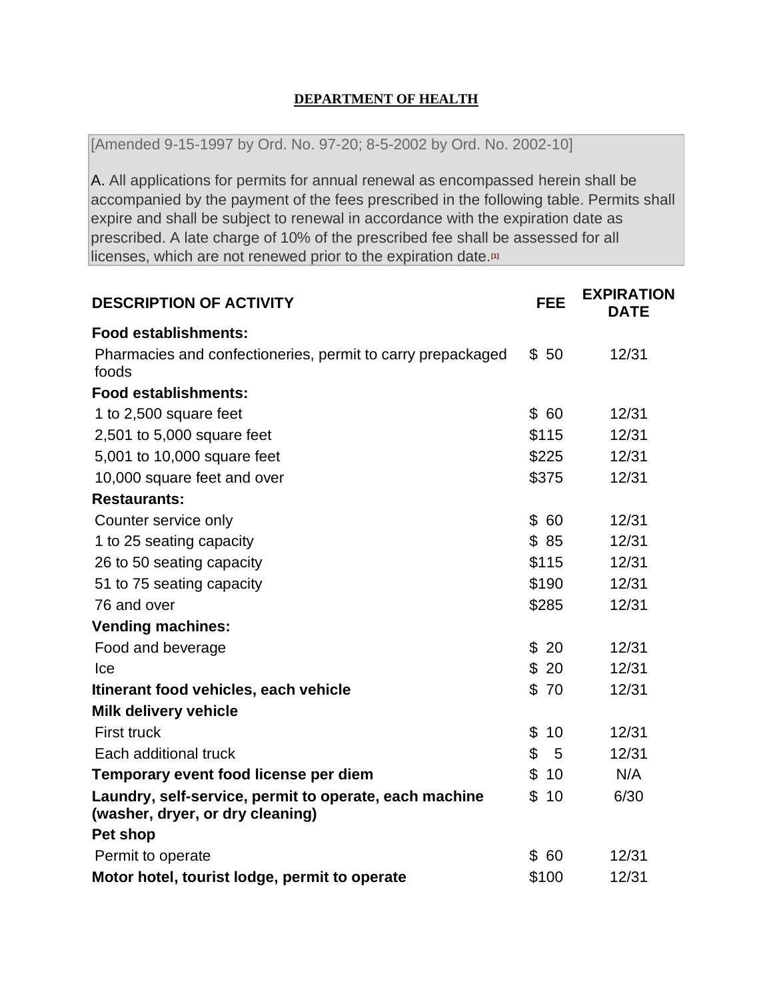## **DEPARTMENT OF HEALTH**

[Amended 9-15-1997 by Ord. No. 97-20; 8-5-2002 by Ord. No. 2002-10]

[A.](http://ecode360.com/search/16046011#16046011) All applications for permits for annual renewal as encompassed herein shall be accompanied by the payment of the fees prescribed in the following table. Permits shall expire and shall be subject to renewal in accordance with the expiration date as prescribed. A late charge of 10% of the prescribed fee shall be assessed for all licenses, which are not renewed prior to the expiration date.**[\[1\]](http://ecode360.com/search/ME1460?query=FOOD+LICENCE#ft16046011-1)**

| <b>DESCRIPTION OF ACTIVITY</b>                                                             |                      | <b>EXPIRATION</b><br><b>DATE</b> |
|--------------------------------------------------------------------------------------------|----------------------|----------------------------------|
| <b>Food establishments:</b>                                                                |                      |                                  |
| Pharmacies and confectioneries, permit to carry prepackaged<br>foods                       | \$50                 | 12/31                            |
| <b>Food establishments:</b>                                                                |                      |                                  |
| 1 to 2,500 square feet                                                                     | \$60                 | 12/31                            |
| 2,501 to 5,000 square feet                                                                 | \$115                | 12/31                            |
| 5,001 to 10,000 square feet                                                                | \$225                | 12/31                            |
| 10,000 square feet and over                                                                | \$375                | 12/31                            |
| <b>Restaurants:</b>                                                                        |                      |                                  |
| Counter service only                                                                       | $\mathfrak{L}$<br>60 | 12/31                            |
| 1 to 25 seating capacity                                                                   | \$85                 | 12/31                            |
| 26 to 50 seating capacity                                                                  | \$115                | 12/31                            |
| 51 to 75 seating capacity                                                                  | \$190                | 12/31                            |
| 76 and over                                                                                | \$285                | 12/31                            |
| <b>Vending machines:</b>                                                                   |                      |                                  |
| Food and beverage                                                                          | \$<br>20             | 12/31                            |
| Ice                                                                                        | \$20                 | 12/31                            |
| Itinerant food vehicles, each vehicle                                                      | \$70                 | 12/31                            |
| <b>Milk delivery vehicle</b>                                                               |                      |                                  |
| <b>First truck</b>                                                                         | \$<br>10             | 12/31                            |
| Each additional truck                                                                      | \$<br>5              | 12/31                            |
| Temporary event food license per diem                                                      | \$<br>10             | N/A                              |
| Laundry, self-service, permit to operate, each machine<br>(washer, dryer, or dry cleaning) |                      | 6/30                             |
| Pet shop                                                                                   |                      |                                  |
| Permit to operate                                                                          | \$60                 | 12/31                            |
| Motor hotel, tourist lodge, permit to operate                                              |                      | 12/31                            |